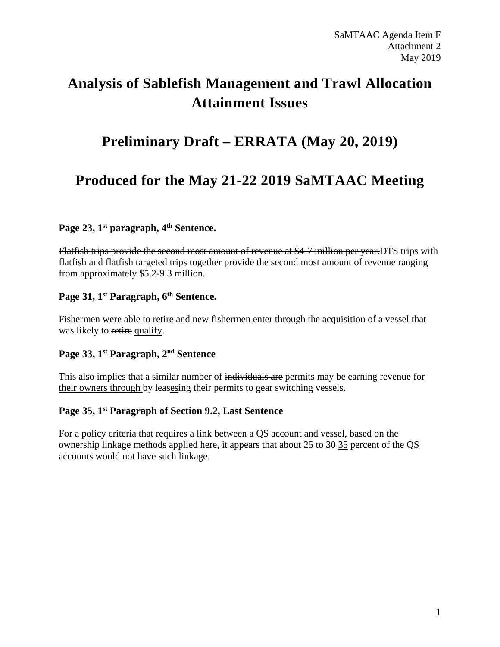# **Analysis of Sablefish Management and Trawl Allocation Attainment Issues**

## **Preliminary Draft – ERRATA (May 20, 2019)**

## **Produced for the May 21-22 2019 SaMTAAC Meeting**

### **Page 23, 1st paragraph, 4th Sentence.**

Flatfish trips provide the second most amount of revenue at \$4-7 million per year.DTS trips with flatfish and flatfish targeted trips together provide the second most amount of revenue ranging from approximately \$5.2-9.3 million.

## **Page 31, 1st Paragraph, 6th Sentence.**

Fishermen were able to retire and new fishermen enter through the acquisition of a vessel that was likely to retire qualify.

## **Page 33, 1st Paragraph, 2nd Sentence**

This also implies that a similar number of individuals are permits may be earning revenue for their owners through by leasesing their permits to gear switching vessels.

### **Page 35, 1st Paragraph of Section 9.2, Last Sentence**

For a policy criteria that requires a link between a QS account and vessel, based on the ownership linkage methods applied here, it appears that about 25 to 30 35 percent of the QS accounts would not have such linkage.